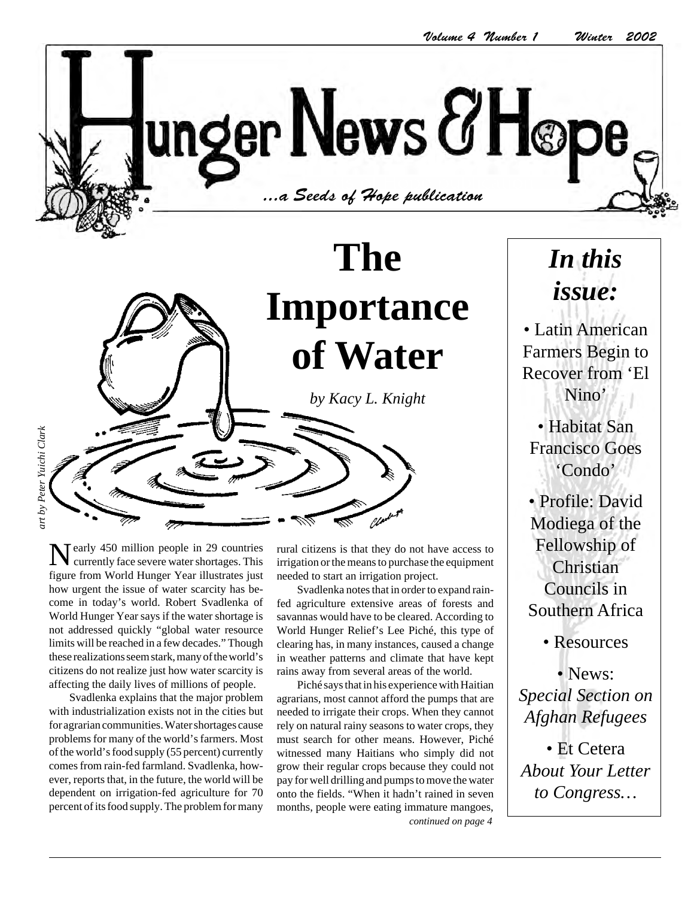unger News & Høpe  $\sim$  1.121.11.11.11 ...a Seeds of Hope publication

# **The Importance of Water** *by Kacy L. Knight*

art by Peter Yuichi Clark *art by Peter Yuichi Clark*

> Tearly 450 million people in 29 countries currently face severe water shortages. This figure from World Hunger Year illustrates just how urgent the issue of water scarcity has become in today's world. Robert Svadlenka of World Hunger Year says if the water shortage is not addressed quickly "global water resource limits will be reached in a few decades." Though these realizations seem stark, many of the world's citizens do not realize just how water scarcity is affecting the daily lives of millions of people.

> Svadlenka explains that the major problem with industrialization exists not in the cities but for agrarian communities. Water shortages cause problems for many of the world's farmers. Most of the world's food supply (55 percent) currently comes from rain-fed farmland. Svadlenka, however, reports that, in the future, the world will be dependent on irrigation-fed agriculture for 70 percent of its food supply. The problem for many

rural citizens is that they do not have access to irrigation or the means to purchase the equipment needed to start an irrigation project.

Svadlenka notes that in order to expand rainfed agriculture extensive areas of forests and savannas would have to be cleared. According to World Hunger Relief's Lee Piché, this type of clearing has, in many instances, caused a change in weather patterns and climate that have kept rains away from several areas of the world.

Piché says that in his experience with Haitian agrarians, most cannot afford the pumps that are needed to irrigate their crops. When they cannot rely on natural rainy seasons to water crops, they must search for other means. However, Piché witnessed many Haitians who simply did not grow their regular crops because they could not pay for well drilling and pumps to move the water onto the fields. "When it hadn't rained in seven months, people were eating immature mangoes, *continued on page 4*

## *In this issue:*

• Latin American Farmers Begin to Recover from 'El Nino'

• Habitat San Francisco Goes 'Condo'

• Profile: David Modiega of the Fellowship of Christian Councils in Southern Africa

• Resources

• News: *Special Section on Afghan Refugees*

• Et Cetera *About Your Letter to Congress…*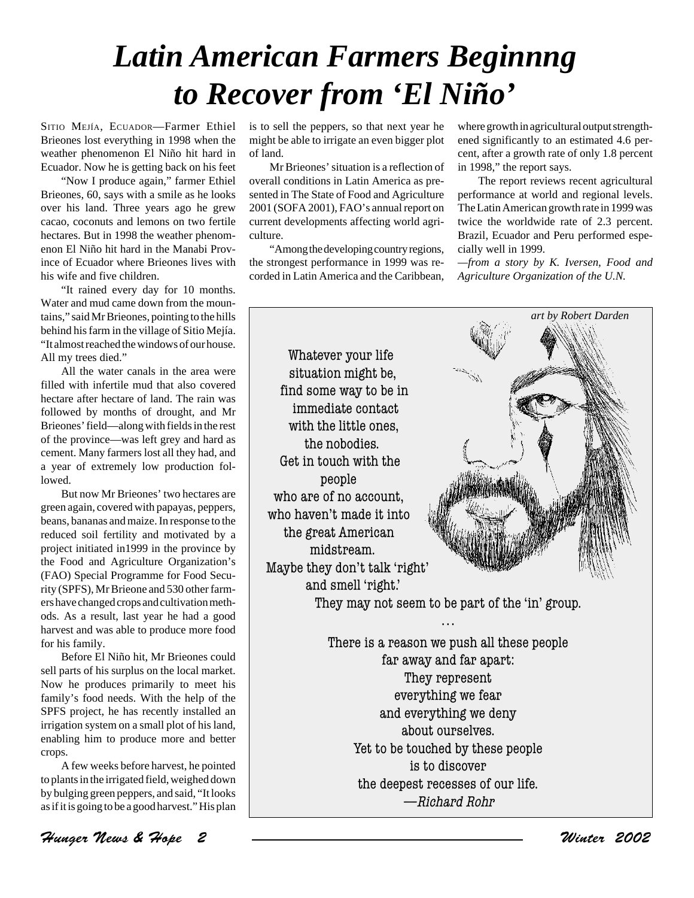# *Latin American Farmers Beginnng to Recover from 'El Niño'*

is to sell the peppers, so that next year he

SITIO MEJÍA, ECUADOR—Farmer Ethiel Brieones lost everything in 1998 when the weather phenomenon El Niño hit hard in Ecuador. Now he is getting back on his feet

"Now I produce again," farmer Ethiel Brieones, 60, says with a smile as he looks over his land. Three years ago he grew cacao, coconuts and lemons on two fertile hectares. But in 1998 the weather phenomenon El Niño hit hard in the Manabi Province of Ecuador where Brieones lives with his wife and five children.

"It rained every day for 10 months. Water and mud came down from the mountains," said Mr Brieones, pointing to the hills behind his farm in the village of Sitio Mejía. "It almost reached the windows of our house. All my trees died."

All the water canals in the area were filled with infertile mud that also covered hectare after hectare of land. The rain was followed by months of drought, and Mr Brieones' field—along with fields in the rest of the province—was left grey and hard as cement. Many farmers lost all they had, and a year of extremely low production followed.

But now Mr Brieones' two hectares are green again, covered with papayas, peppers, beans, bananas and maize. In response to the reduced soil fertility and motivated by a project initiated in1999 in the province by the Food and Agriculture Organization's (FAO) Special Programme for Food Security (SPFS), Mr Brieone and 530 other farmers have changed crops and cultivation methods. As a result, last year he had a good harvest and was able to produce more food for his family.

Before El Niño hit, Mr Brieones could sell parts of his surplus on the local market. Now he produces primarily to meet his family's food needs. With the help of the SPFS project, he has recently installed an irrigation system on a small plot of his land, enabling him to produce more and better crops.

A few weeks before harvest, he pointed to plants in the irrigated field, weighed down by bulging green peppers, and said, "It looks as if it is going to be a good harvest." His plan

might be able to irrigate an even bigger plot of land. Mr Brieones' situation is a reflection of

overall conditions in Latin America as presented in The State of Food and Agriculture 2001 (SOFA 2001), FAO's annual report on current developments affecting world agriculture.

"Among the developing country regions, the strongest performance in 1999 was recorded in Latin America and the Caribbean, where growth in agricultural output strengthened significantly to an estimated 4.6 percent, after a growth rate of only 1.8 percent in 1998," the report says.

The report reviews recent agricultural performance at world and regional levels. The Latin American growth rate in 1999 was twice the worldwide rate of 2.3 percent. Brazil, Ecuador and Peru performed especially well in 1999.

*—from a story by K. Iversen, Food and Agriculture Organization of the U.N.*

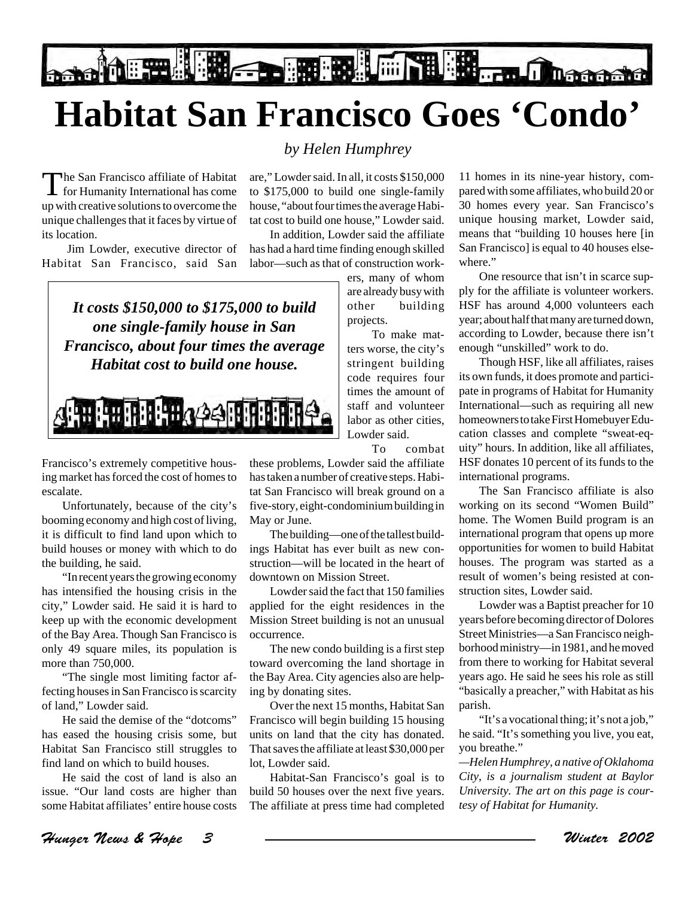**De MERILLE DE L'Allien de La Characterie de la Characterie de la Characterie de la Characterie de la Characteri** 

# **Habitat San Francisco Goes 'Condo'**

#### *by Helen Humphrey*

The San Francisco affiliate of Habitat for Humanity International has come up with creative solutions to overcome the unique challenges that it faces by virtue of its location.

 Jim Lowder, executive director of Habitat San Francisco, said San

are," Lowder said. In all, it costs \$150,000 to \$175,000 to build one single-family house, "about four times the average Habitat cost to build one house," Lowder said.

In addition, Lowder said the affiliate has had a hard time finding enough skilled labor—such as that of construction work-

*It costs \$150,000 to \$175,000 to build one single-family house in San Francisco, about four times the average Habitat cost to build one house.*

**SETTEM THE HIS COOK THE THE** 

Francisco's extremely competitive housing market has forced the cost of homes to escalate.

Unfortunately, because of the city's booming economy and high cost of living, it is difficult to find land upon which to build houses or money with which to do the building, he said.

"In recent years the growing economy has intensified the housing crisis in the city," Lowder said. He said it is hard to keep up with the economic development of the Bay Area. Though San Francisco is only 49 square miles, its population is more than 750,000.

"The single most limiting factor affecting houses in San Francisco is scarcity of land," Lowder said.

He said the demise of the "dotcoms" has eased the housing crisis some, but Habitat San Francisco still struggles to find land on which to build houses.

He said the cost of land is also an issue. "Our land costs are higher than some Habitat affiliates' entire house costs ers, many of whom are already busy with other building projects.

To make matters worse, the city's stringent building code requires four times the amount of staff and volunteer labor as other cities, Lowder said.

To combat

these problems, Lowder said the affiliate has taken a number of creative steps. Habitat San Francisco will break ground on a five-story, eight-condominium building in May or June.

The building—one of the tallest buildings Habitat has ever built as new construction—will be located in the heart of downtown on Mission Street.

Lowder said the fact that 150 families applied for the eight residences in the Mission Street building is not an unusual occurrence.

The new condo building is a first step toward overcoming the land shortage in the Bay Area. City agencies also are helping by donating sites.

Over the next 15 months, Habitat San Francisco will begin building 15 housing units on land that the city has donated. That saves the affiliate at least \$30,000 per lot, Lowder said.

Habitat-San Francisco's goal is to build 50 houses over the next five years. The affiliate at press time had completed

11 homes in its nine-year history, compared with some affiliates, who build 20 or 30 homes every year. San Francisco's unique housing market, Lowder said, means that "building 10 houses here [in San Francisco] is equal to 40 houses elsewhere."

One resource that isn't in scarce supply for the affiliate is volunteer workers. HSF has around 4,000 volunteers each year; about half that many are turned down, according to Lowder, because there isn't enough "unskilled" work to do.

Though HSF, like all affiliates, raises its own funds, it does promote and participate in programs of Habitat for Humanity International—such as requiring all new homeowners to take First Homebuyer Education classes and complete "sweat-equity" hours. In addition, like all affiliates, HSF donates 10 percent of its funds to the international programs.

The San Francisco affiliate is also working on its second "Women Build" home. The Women Build program is an international program that opens up more opportunities for women to build Habitat houses. The program was started as a result of women's being resisted at construction sites, Lowder said.

Lowder was a Baptist preacher for 10 years before becoming director of Dolores Street Ministries—a San Francisco neighborhood ministry—in 1981, and he moved from there to working for Habitat several years ago. He said he sees his role as still "basically a preacher," with Habitat as his parish.

"It's a vocational thing; it's not a job," he said. "It's something you live, you eat, you breathe."

*—Helen Humphrey, a native of Oklahoma City, is a journalism student at Baylor University. The art on this page is courtesy of Habitat for Humanity.*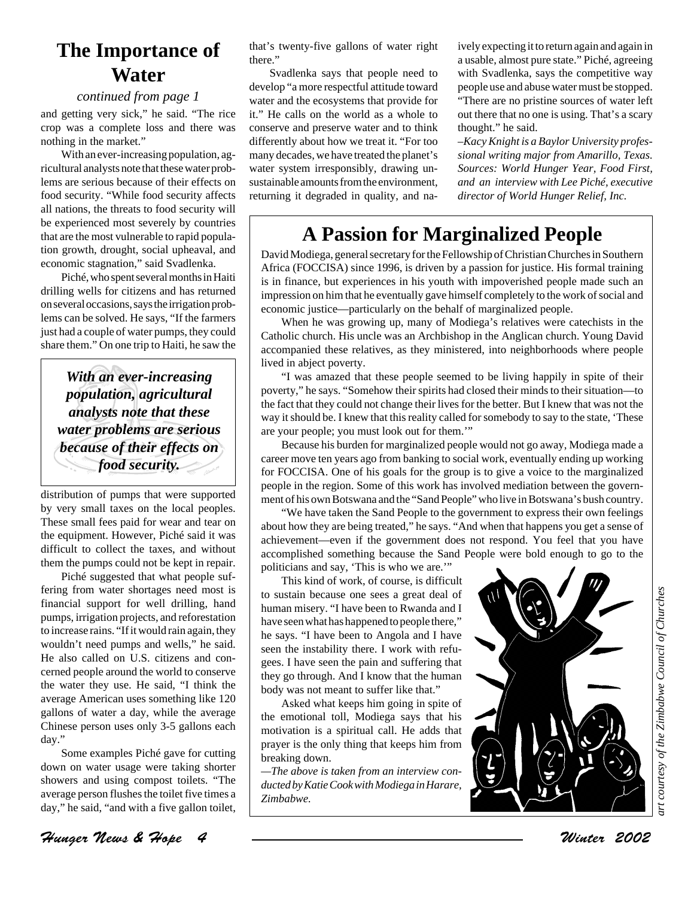### **The Importance of Water**

#### *continued from page 1*

and getting very sick," he said. "The rice crop was a complete loss and there was nothing in the market."

With an ever-increasing population, agricultural analysts note that these water problems are serious because of their effects on food security. "While food security affects all nations, the threats to food security will be experienced most severely by countries that are the most vulnerable to rapid population growth, drought, social upheaval, and economic stagnation," said Svadlenka.

Piché, who spent several months in Haiti drilling wells for citizens and has returned on several occasions, says the irrigation problems can be solved. He says, "If the farmers just had a couple of water pumps, they could share them." On one trip to Haiti, he saw the

*With an ever-increasing population, agricultural analysts note that these water problems are serious because of their effects on food security.*

distribution of pumps that were supported by very small taxes on the local peoples. These small fees paid for wear and tear on the equipment. However, Piché said it was difficult to collect the taxes, and without them the pumps could not be kept in repair.

Piché suggested that what people suffering from water shortages need most is financial support for well drilling, hand pumps, irrigation projects, and reforestation to increase rains. "If it would rain again, they wouldn't need pumps and wells," he said. He also called on U.S. citizens and concerned people around the world to conserve the water they use. He said, "I think the average American uses something like 120 gallons of water a day, while the average Chinese person uses only 3-5 gallons each day."

Some examples Piché gave for cutting down on water usage were taking shorter showers and using compost toilets. "The average person flushes the toilet five times a day," he said, "and with a five gallon toilet,

that's twenty-five gallons of water right there."

Svadlenka says that people need to develop "a more respectful attitude toward water and the ecosystems that provide for it." He calls on the world as a whole to conserve and preserve water and to think differently about how we treat it. "For too many decades, we have treated the planet's water system irresponsibly, drawing unsustainable amounts from the environment, returning it degraded in quality, and naively expecting it to return again and again in a usable, almost pure state." Piché, agreeing with Svadlenka, says the competitive way people use and abuse water must be stopped. "There are no pristine sources of water left out there that no one is using. That's a scary thought." he said.

–*Kacy Knight is a Baylor University professional writing major from Amarillo, Texas. Sources: World Hunger Year, Food First, and an interview with Lee Piché, executive director of World Hunger Relief, Inc.*

### **A Passion for Marginalized People**

David Modiega, general secretary for the Fellowship of Christian Churches in Southern Africa (FOCCISA) since 1996, is driven by a passion for justice. His formal training is in finance, but experiences in his youth with impoverished people made such an impression on him that he eventually gave himself completely to the work of social and economic justice—particularly on the behalf of marginalized people.

When he was growing up, many of Modiega's relatives were catechists in the Catholic church. His uncle was an Archbishop in the Anglican church. Young David accompanied these relatives, as they ministered, into neighborhoods where people lived in abject poverty.

"I was amazed that these people seemed to be living happily in spite of their poverty," he says. "Somehow their spirits had closed their minds to their situation—to the fact that they could not change their lives for the better. But I knew that was not the way it should be. I knew that this reality called for somebody to say to the state, 'These are your people; you must look out for them.'"

Because his burden for marginalized people would not go away, Modiega made a career move ten years ago from banking to social work, eventually ending up working for FOCCISA. One of his goals for the group is to give a voice to the marginalized people in the region. Some of this work has involved mediation between the government of his own Botswana and the "Sand People" who live in Botswana's bush country.

"We have taken the Sand People to the government to express their own feelings about how they are being treated," he says. "And when that happens you get a sense of achievement—even if the government does not respond. You feel that you have accomplished something because the Sand People were bold enough to go to the politicians and say, 'This is who we are.'"

This kind of work, of course, is difficult to sustain because one sees a great deal of human misery. "I have been to Rwanda and I have seen what has happened to people there," he says. "I have been to Angola and I have seen the instability there. I work with refugees. I have seen the pain and suffering that they go through. And I know that the human body was not meant to suffer like that."

Asked what keeps him going in spite of the emotional toll, Modiega says that his motivation is a spiritual call. He adds that prayer is the only thing that keeps him from breaking down.

*—The above is taken from an interview conducted by Katie Cook with Modiega in Harare, Zimbabwe.*



Hunger News & Hope 4 Winter 2002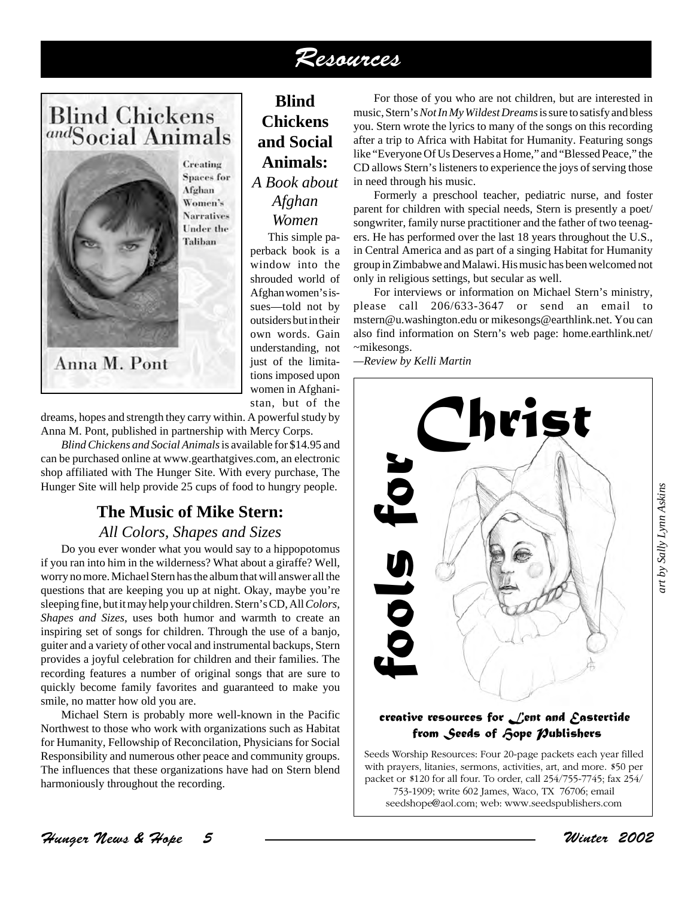### Resources

### **Blind Chickens** andSocial Animals



Creating **Spaces** for Afghan Women's **Narratives** Under the Taliban

**Animals:** *A Book about Afghan Women* This simple pa-

**Blind Chickens and Social**

perback book is a window into the shrouded world of Afghan women's issues—told not by outsiders but in their own words. Gain understanding, not just of the limitations imposed upon women in Afghanistan, but of the

dreams, hopes and strength they carry within. A powerful study by Anna M. Pont, published in partnership with Mercy Corps.

*Blind Chickens and Social Animals* is available for \$14.95 and can be purchased online at www.gearthatgives.com, an electronic shop affiliated with The Hunger Site. With every purchase, The Hunger Site will help provide 25 cups of food to hungry people.

#### **The Music of Mike Stern:**

#### *All Colors, Shapes and Sizes*

Do you ever wonder what you would say to a hippopotomus if you ran into him in the wilderness? What about a giraffe? Well, worry no more. Michael Stern has the album that will answer all the questions that are keeping you up at night. Okay, maybe you're sleeping fine, but it may help your children. Stern's CD, All *Colors, Shapes and Sizes*, uses both humor and warmth to create an inspiring set of songs for children. Through the use of a banjo, guiter and a variety of other vocal and instrumental backups, Stern provides a joyful celebration for children and their families. The recording features a number of original songs that are sure to quickly become family favorites and guaranteed to make you smile, no matter how old you are.

Michael Stern is probably more well-known in the Pacific Northwest to those who work with organizations such as Habitat for Humanity, Fellowship of Reconcilation, Physicians for Social Responsibility and numerous other peace and community groups. The influences that these organizations have had on Stern blend harmoniously throughout the recording.

For those of you who are not children, but are interested in music, Stern's *Not In My Wildest Dreams* is sure to satisfy and bless you. Stern wrote the lyrics to many of the songs on this recording after a trip to Africa with Habitat for Humanity. Featuring songs like "Everyone Of Us Deserves a Home," and "Blessed Peace," the CD allows Stern's listeners to experience the joys of serving those in need through his music.

Formerly a preschool teacher, pediatric nurse, and foster parent for children with special needs, Stern is presently a poet/ songwriter, family nurse practitioner and the father of two teenagers. He has performed over the last 18 years throughout the U.S., in Central America and as part of a singing Habitat for Humanity group in Zimbabwe and Malawi. His music has been welcomed not only in religious settings, but secular as well.

For interviews or information on Michael Stern's ministry, please call 206/633-3647 or send an email to mstern@u.washington.edu or mikesongs@earthlink.net. You can also find information on Stern's web page: home.earthlink.net/ ~mikesongs.

*—Review by Kelli Martin*



#### *creative resources for Lent and Eastertide* from Seeds of *fope Publishers*

Seeds Worship Resources: Four 20-page packets each year filled with prayers, litanies, sermons, activities, art, and more. \$50 per packet or \$120 for all four. To order, call 254/755-7745; fax 254/ 753-1909; write 602 James, Waco, TX 76706; email

Hunger News & Hope 5 Winter 2002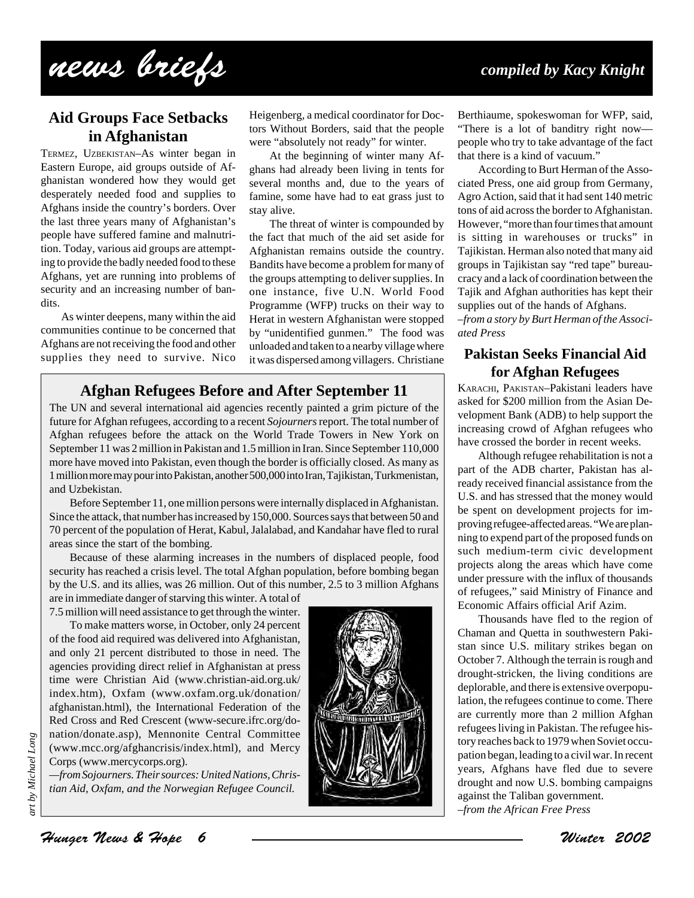# news briefs *compiled by Kacy Knight*

#### **Aid Groups Face Setbacks in Afghanistan**

TERMEZ, UZBEKISTAN–As winter began in Eastern Europe, aid groups outside of Afghanistan wondered how they would get desperately needed food and supplies to Afghans inside the country's borders. Over the last three years many of Afghanistan's people have suffered famine and malnutrition. Today, various aid groups are attempting to provide the badly needed food to these Afghans, yet are running into problems of security and an increasing number of bandits.

As winter deepens, many within the aid communities continue to be concerned that Afghans are not receiving the food and other supplies they need to survive. Nico

Heigenberg, a medical coordinator for Doctors Without Borders, said that the people were "absolutely not ready" for winter.

At the beginning of winter many Afghans had already been living in tents for several months and, due to the years of famine, some have had to eat grass just to stay alive.

The threat of winter is compounded by the fact that much of the aid set aside for Afghanistan remains outside the country. Bandits have become a problem for many of the groups attempting to deliver supplies. In one instance, five U.N. World Food Programme (WFP) trucks on their way to Herat in western Afghanistan were stopped by "unidentified gunmen." The food was unloaded and taken to a nearby village where it was dispersed among villagers. Christiane

#### **Afghan Refugees Before and After September 11**

The UN and several international aid agencies recently painted a grim picture of the future for Afghan refugees, according to a recent *Sojourners* report. The total number of Afghan refugees before the attack on the World Trade Towers in New York on September 11 was 2 million in Pakistan and 1.5 million in Iran. Since September 110,000 more have moved into Pakistan, even though the border is officially closed. As many as 1 million more may pour into Pakistan, another 500,000 into Iran, Tajikistan, Turkmenistan, and Uzbekistan.

Before September 11, one million persons were internally displaced in Afghanistan. Since the attack, that number has increased by 150,000. Sources says that between 50 and 70 percent of the population of Herat, Kabul, Jalalabad, and Kandahar have fled to rural areas since the start of the bombing.

Because of these alarming increases in the numbers of displaced people, food security has reached a crisis level. The total Afghan population, before bombing began by the U.S. and its allies, was 26 million. Out of this number, 2.5 to 3 million Afghans are in immediate danger of starving this winter. A total of

7.5 million will need assistance to get through the winter.

To make matters worse, in October, only 24 percent of the food aid required was delivered into Afghanistan, and only 21 percent distributed to those in need. The agencies providing direct relief in Afghanistan at press time were Christian Aid (www.christian-aid.org.uk/ index.htm), Oxfam (www.oxfam.org.uk/donation/ afghanistan.html), the International Federation of the Red Cross and Red Crescent (www-secure.ifrc.org/donation/donate.asp), Mennonite Central Committee (www.mcc.org/afghancrisis/index.html), and Mercy Corps (www.mercycorps.org).

*—from Sojourners. Their sources: United Nations, Christian Aid, Oxfam, and the Norwegian Refugee Council.*



Berthiaume, spokeswoman for WFP, said, "There is a lot of banditry right now people who try to take advantage of the fact that there is a kind of vacuum."

According to Burt Herman of the Associated Press, one aid group from Germany, Agro Action, said that it had sent 140 metric tons of aid across the border to Afghanistan. However, "more than four times that amount is sitting in warehouses or trucks" in Tajikistan. Herman also noted that many aid groups in Tajikistan say "red tape" bureaucracy and a lack of coordination between the Tajik and Afghan authorities has kept their supplies out of the hands of Afghans. –*from a story by Burt Herman of the Associated Press*

#### **Pakistan Seeks Financial Aid for Afghan Refugees**

KARACHI, PAKISTAN–Pakistani leaders have asked for \$200 million from the Asian Development Bank (ADB) to help support the increasing crowd of Afghan refugees who have crossed the border in recent weeks.

Although refugee rehabilitation is not a part of the ADB charter, Pakistan has already received financial assistance from the U.S. and has stressed that the money would be spent on development projects for improving refugee-affected areas. "We are planning to expend part of the proposed funds on such medium-term civic development projects along the areas which have come under pressure with the influx of thousands of refugees," said Ministry of Finance and Economic Affairs official Arif Azim.

Thousands have fled to the region of Chaman and Quetta in southwestern Pakistan since U.S. military strikes began on October 7. Although the terrain is rough and drought-stricken, the living conditions are deplorable, and there is extensive overpopulation, the refugees continue to come. There are currently more than 2 million Afghan refugees living in Pakistan. The refugee history reaches back to 1979 when Soviet occupation began, leading to a civil war. In recent years, Afghans have fled due to severe drought and now U.S. bombing campaigns against the Taliban government. –*from the African Free Press*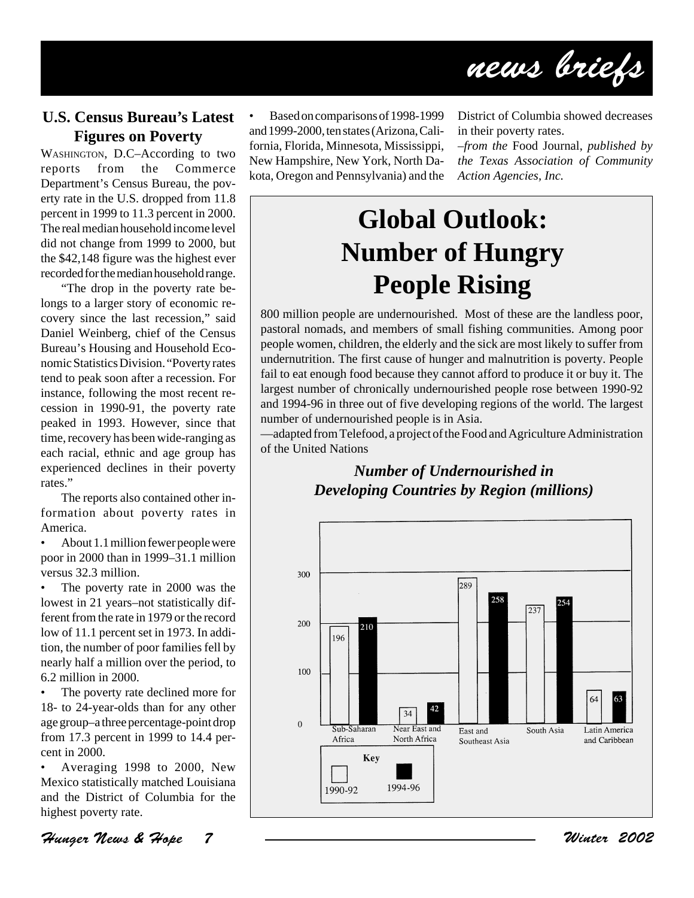

#### **U.S. Census Bureau's Latest Figures on Poverty**

WASHINGTON, D.C–According to two reports from the Commerce Department's Census Bureau, the poverty rate in the U.S. dropped from 11.8 percent in 1999 to 11.3 percent in 2000. The real median household income level did not change from 1999 to 2000, but the \$42,148 figure was the highest ever recorded for the median household range.

"The drop in the poverty rate belongs to a larger story of economic recovery since the last recession," said Daniel Weinberg, chief of the Census Bureau's Housing and Household Economic Statistics Division. "Poverty rates tend to peak soon after a recession. For instance, following the most recent recession in 1990-91, the poverty rate peaked in 1993. However, since that time, recovery has been wide-ranging as each racial, ethnic and age group has experienced declines in their poverty rates."

The reports also contained other information about poverty rates in America.

• About 1.1 million fewer people were poor in 2000 than in 1999–31.1 million versus 32.3 million.

• The poverty rate in 2000 was the lowest in 21 years–not statistically different from the rate in 1979 or the record low of 11.1 percent set in 1973. In addition, the number of poor families fell by nearly half a million over the period, to 6.2 million in 2000.

The poverty rate declined more for 18- to 24-year-olds than for any other age group–a three percentage-point drop from 17.3 percent in 1999 to 14.4 percent in 2000.

• Averaging 1998 to 2000, New Mexico statistically matched Louisiana and the District of Columbia for the highest poverty rate.

Hunger News & Hope 7 Winter 2002

• Based on comparisons of 1998-1999 and 1999-2000, ten states (Arizona, California, Florida, Minnesota, Mississippi, New Hampshire, New York, North Dakota, Oregon and Pennsylvania) and the District of Columbia showed decreases in their poverty rates.

–*from the* Food Journal, *published by the Texas Association of Community Action Agencies, Inc.*

# **Global Outlook: Number of Hungry People Rising**

800 million people are undernourished. Most of these are the landless poor, pastoral nomads, and members of small fishing communities. Among poor people women, children, the elderly and the sick are most likely to suffer from undernutrition. The first cause of hunger and malnutrition is poverty. People fail to eat enough food because they cannot afford to produce it or buy it. The largest number of chronically undernourished people rose between 1990-92 and 1994-96 in three out of five developing regions of the world. The largest number of undernourished people is in Asia.

—adapted from Telefood, a project of the Food and Agriculture Administration of the United Nations

#### *Number of Undernourished in Developing Countries by Region (millions)*